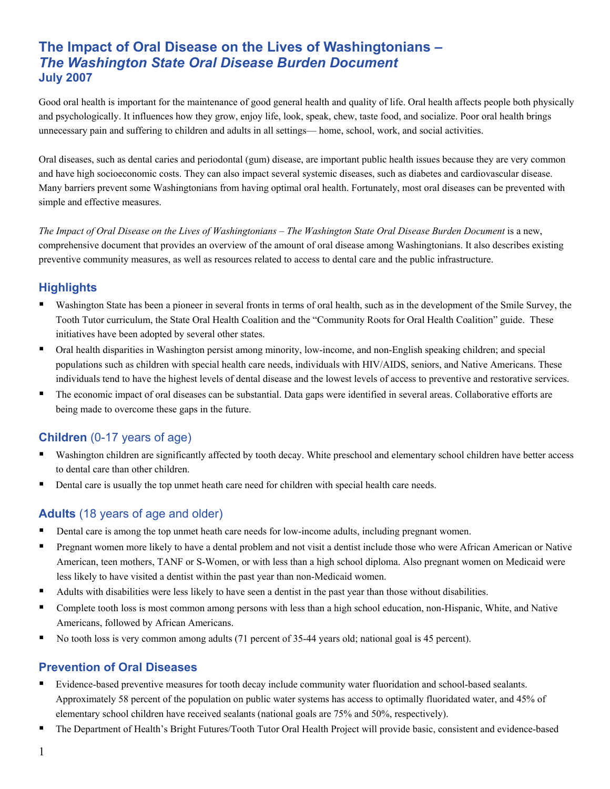# **The Impact of Oral Disease on the Lives of Washingtonians –**  *The Washington State Oral Disease Burden Document*  **July 2007**

Good oral health is important for the maintenance of good general health and quality of life. Oral health affects people both physically and psychologically. It influences how they grow, enjoy life, look, speak, chew, taste food, and socialize. Poor oral health brings unnecessary pain and suffering to children and adults in all settings— home, school, work, and social activities.

Oral diseases, such as dental caries and periodontal (gum) disease, are important public health issues because they are very common and have high socioeconomic costs. They can also impact several systemic diseases, such as diabetes and cardiovascular disease. Many barriers prevent some Washingtonians from having optimal oral health. Fortunately, most oral diseases can be prevented with simple and effective measures.

*The Impact of Oral Disease on the Lives of Washingtonians* – *The Washington State Oral Disease Burden Document* is a new, comprehensive document that provides an overview of the amount of oral disease among Washingtonians. It also describes existing preventive community measures, as well as resources related to access to dental care and the public infrastructure.

### **Highlights**

- Washington State has been a pioneer in several fronts in terms of oral health, such as in the development of the Smile Survey, the Tooth Tutor curriculum, the State Oral Health Coalition and the "Community Roots for Oral Health Coalition" guide. These initiatives have been adopted by several other states.
- Oral health disparities in Washington persist among minority, low-income, and non-English speaking children; and special populations such as children with special health care needs, individuals with HIV/AIDS, seniors, and Native Americans. These individuals tend to have the highest levels of dental disease and the lowest levels of access to preventive and restorative services.
- The economic impact of oral diseases can be substantial. Data gaps were identified in several areas. Collaborative efforts are being made to overcome these gaps in the future.

## **Children** (0-17 years of age)

- Washington children are significantly affected by tooth decay. White preschool and elementary school children have better access to dental care than other children.
- Dental care is usually the top unmet heath care need for children with special health care needs.

## **Adults** (18 years of age and older)

- Dental care is among the top unmet heath care needs for low-income adults, including pregnant women.
- Pregnant women more likely to have a dental problem and not visit a dentist include those who were African American or Native American, teen mothers, TANF or S-Women, or with less than a high school diploma. Also pregnant women on Medicaid were less likely to have visited a dentist within the past year than non-Medicaid women.
- Adults with disabilities were less likely to have seen a dentist in the past year than those without disabilities.
- Complete tooth loss is most common among persons with less than a high school education, non-Hispanic, White, and Native Americans, followed by African Americans.
- No tooth loss is very common among adults (71 percent of 35-44 years old; national goal is 45 percent).

#### **Prevention of Oral Diseases**

- Evidence-based preventive measures for tooth decay include community water fluoridation and school-based sealants. Approximately 58 percent of the population on public water systems has access to optimally fluoridated water, and 45% of elementary school children have received sealants (national goals are 75% and 50%, respectively).
- The Department of Health's Bright Futures/Tooth Tutor Oral Health Project will provide basic, consistent and evidence-based